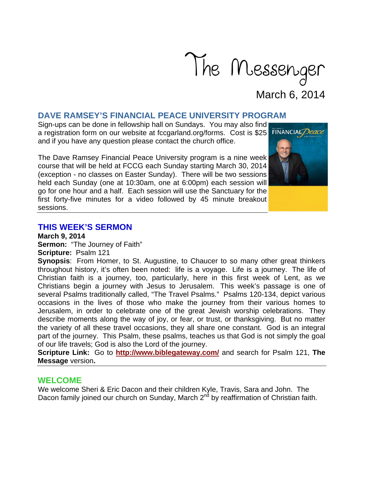

# **DAVE RAMSEY'S FINANCIAL PEACE UNIVERSITY PROGRAM**

Sign-ups can be done in fellowship hall on Sundays. You may also find a registration form on our website at fccgarland.org/forms. Cost is \$25 FINANCIAL Deace and if you have any question please contact the church office.

The Dave Ramsey Financial Peace University program is a nine week course that will be held at FCCG each Sunday starting March 30, 2014 (exception - no classes on Easter Sunday). There will be two sessions held each Sunday (one at 10:30am, one at 6:00pm) each session will go for one hour and a half. Each session will use the Sanctuary for the first forty-five minutes for a video followed by 45 minute breakout sessions.

#### **THIS WEEK'S SERMON**

**March 9, 2014** 

**Sermon:** "The Journey of Faith" **Scripture:** Psalm 121

**Synopsis**: From Homer, to St. Augustine, to Chaucer to so many other great thinkers throughout history, it's often been noted: life is a voyage. Life is a journey. The life of Christian faith is a journey, too, particularly, here in this first week of Lent, as we Christians begin a journey with Jesus to Jerusalem. This week's passage is one of several Psalms traditionally called, "The Travel Psalms." Psalms 120-134, depict various occasions in the lives of those who make the journey from their various homes to Jerusalem, in order to celebrate one of the great Jewish worship celebrations. They describe moments along the way of joy, or fear, or trust, or thanksgiving. But no matter the variety of all these travel occasions, they all share one constant. God is an integral part of the journey. This Psalm, these psalms, teaches us that God is not simply the goal of our life travels; God is also the Lord of the journey.

**Scripture Link:** Go to **http://www.biblegateway.com/** and search for Psalm 121, **The Message** version**.**

### **WELCOME**

We welcome Sheri & Eric Dacon and their children Kyle, Travis, Sara and John. The Dacon family joined our church on Sunday, March 2<sup>nd</sup> by reaffirmation of Christian faith.

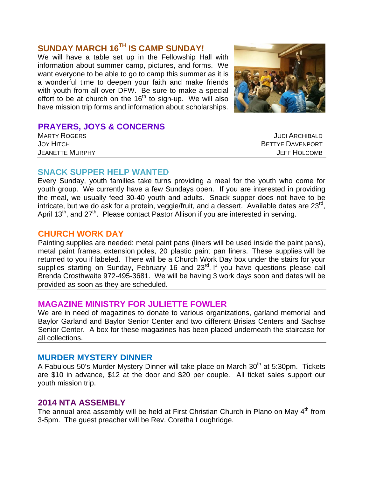# **SUNDAY MARCH 16TH IS CAMP SUNDAY!**

We will have a table set up in the Fellowship Hall with information about summer camp, pictures, and forms. We want everyone to be able to go to camp this summer as it is a wonderful time to deepen your faith and make friends with youth from all over DFW. Be sure to make a special effort to be at church on the  $16<sup>th</sup>$  to sign-up. We will also have mission trip forms and information about scholarships.



# **PRAYERS, JOYS & CONCERNS**

MARTY ROGERS GERES AND RESERVE THE STATE OF THE STATE OF THE STATE OF THE STATE OF THE STATE OF THE STATE OF T JOY HITCH BETTYE DAVENPORT JEANETTE MURPHY JEFF HOLCOMB

### **SNACK SUPPER HELP WANTED**

Every Sunday, youth families take turns providing a meal for the youth who come for youth group. We currently have a few Sundays open. If you are interested in providing the meal, we usually feed 30-40 youth and adults. Snack supper does not have to be intricate, but we do ask for a protein, veggie/fruit, and a dessert. Available dates are  $23^{\text{rd}}$ , April 13<sup>th</sup>, and 27<sup>th</sup>. Please contact Pastor Allison if you are interested in serving.

### **CHURCH WORK DAY**

Painting supplies are needed: metal paint pans (liners will be used inside the paint pans), metal paint frames, extension poles, 20 plastic paint pan liners. These supplies will be returned to you if labeled. There will be a Church Work Day box under the stairs for your supplies starting on Sunday, February 16 and 23<sup>rd</sup>. If you have questions please call Brenda Crosthwaite 972-495-3681. We will be having 3 work days soon and dates will be provided as soon as they are scheduled.

# **MAGAZINE MINISTRY FOR JULIETTE FOWLER**

We are in need of magazines to donate to various organizations, garland memorial and Baylor Garland and Baylor Senior Center and two different Brisias Centers and Sachse Senior Center. A box for these magazines has been placed underneath the staircase for all collections.

### **MURDER MYSTERY DINNER**

A Fabulous 50's Murder Mystery Dinner will take place on March  $30<sup>th</sup>$  at 5:30pm. Tickets are \$10 in advance, \$12 at the door and \$20 per couple. All ticket sales support our youth mission trip.

# **2014 NTA ASSEMBLY**

The annual area assembly will be held at First Christian Church in Plano on May  $4<sup>th</sup>$  from 3-5pm. The guest preacher will be Rev. Coretha Loughridge.